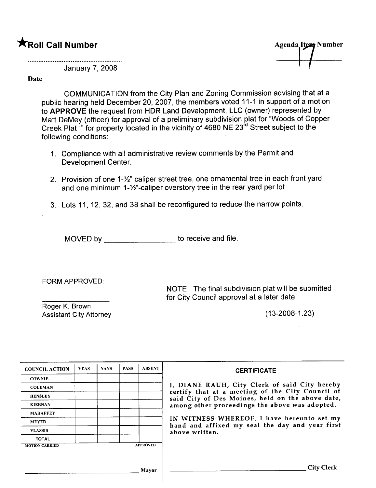# \*Roll Call Number

Agenda Item Number I

January 7,2008

#### Date

COMMUNICATION from the City Plan and Zoning Commission advising that at a public hearing held December 20,2007, the members voted 11-1 in support of a motion to APPROVE the request from HDR Land Development, LLC (owner) represented by Matt DeMey (officer) for approval of a preliminary subdivision plat for "Woods of Copper Creek Plat I" for property located in the vicinity of 4680 NE 23<sup>rd</sup> Street subject to the following conditions:

- 1. Compliance with all administrative review comments by the Permit and Development Center.
- 2. Provision of one 1-%" caliper street tree, one ornamental tree in each front yard, and one minimum 1-%"-caliper overstory tree in the rear yard per lot.
- 3. Lots 11, 12, 32, and 38 shall be reconfigured to reduce the narrow points.

MOVED by \_\_\_\_\_\_\_\_\_\_\_\_\_\_\_\_\_\_\_\_\_ to receive and file.

FORM APPROVED:

NOTE: The final subdivision plat will be submitted for City Council approval at a later date.

Roger K. Brown Assistant City Attorney (13-2008-1.23)

| <b>COUNCIL ACTION</b> | <b>YEAS</b> | <b>NAYS</b> | <b>PASS</b> | <b>ABSENT</b>   | <b>CERTIFICATE</b>                                                                                   |
|-----------------------|-------------|-------------|-------------|-----------------|------------------------------------------------------------------------------------------------------|
| <b>COWNIE</b>         |             |             |             |                 |                                                                                                      |
| <b>COLEMAN</b>        |             |             |             |                 | I, DIANE RAUH, City Clerk of said City hereby                                                        |
| <b>HENSLEY</b>        |             |             |             |                 | certify that at a meeting of the City Council of<br>said City of Des Moines, held on the above date, |
| <b>KIERNAN</b>        |             |             |             |                 | among other proceedings the above was adopted.                                                       |
| <b>MAHAFFEY</b>       |             |             |             |                 |                                                                                                      |
| <b>MEYER</b>          |             |             |             |                 | IN WITNESS WHEREOF, I have hereunto set my<br>hand and affixed my seal the day and year first        |
| <b>VLASSIS</b>        |             |             |             |                 | above written.                                                                                       |
| <b>TOTAL</b>          |             |             |             |                 |                                                                                                      |
| <b>MOTION CARRIED</b> |             |             |             | <b>APPROVED</b> |                                                                                                      |
|                       |             |             |             |                 |                                                                                                      |
|                       |             |             |             |                 |                                                                                                      |
|                       |             |             |             | Mayor           | <b>City Clerk</b>                                                                                    |
|                       |             |             |             |                 |                                                                                                      |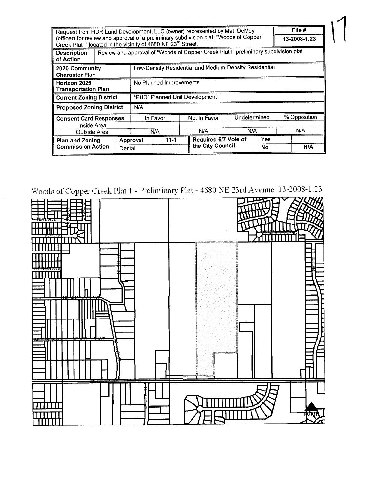| File #<br>Request from HDR Land Development, LLC (owner) represented by Matt DeMey                                                                                 |  |        |                                                                                     |          |  |              |                                          |  |              |  |
|--------------------------------------------------------------------------------------------------------------------------------------------------------------------|--|--------|-------------------------------------------------------------------------------------|----------|--|--------------|------------------------------------------|--|--------------|--|
| (officer) for review and approval of a preliminary subdivision plat, "Woods of Copper<br>Creek Plat I" located in the vicinity of 4680 NE 23 <sup>rd</sup> Street. |  |        |                                                                                     |          |  |              |                                          |  | 13-2008-1.23 |  |
| <b>Description</b><br>of Action                                                                                                                                    |  |        | Review and approval of "Woods of Copper Creek Plat I" preliminary subdivision plat. |          |  |              |                                          |  |              |  |
| 2020 Community<br><b>Character Plan</b>                                                                                                                            |  |        | Low-Density Residential and Medium-Density Residential                              |          |  |              |                                          |  |              |  |
| Horizon 2025<br><b>Transportation Plan</b>                                                                                                                         |  |        | No Planned Improvements                                                             |          |  |              |                                          |  |              |  |
| <b>Current Zoning District</b>                                                                                                                                     |  |        | "PUD" Planned Unit Development                                                      |          |  |              |                                          |  |              |  |
| <b>Proposed Zoning District</b>                                                                                                                                    |  |        | N/A                                                                                 |          |  |              |                                          |  |              |  |
| <b>Consent Card Responses</b><br>Inside Area                                                                                                                       |  |        | In Favor                                                                            |          |  | Not In Favor | Undetermined                             |  | % Opposition |  |
| Outside Area                                                                                                                                                       |  |        | N/A                                                                                 |          |  | N/A          | N/A                                      |  | N/A          |  |
| <b>Plan and Zoning</b><br><b>Commission Action</b>                                                                                                                 |  | Denial | Approval                                                                            | $11 - 1$ |  |              | Required 6/7 Vote of<br>the City Council |  | N/A          |  |

 $\vert$ 

\Voods of Copper Creek Plat 1 - Preliminary Plat - 4680 NE 23n1 Avenue 13-2008-1.23

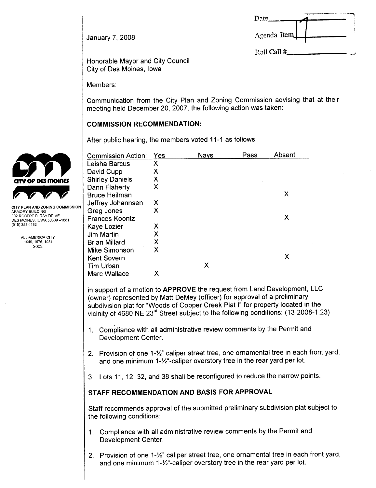| Date        |  |
|-------------|--|
| Agenda Item |  |

Roll Call #

January 7, 2008

Honorable Mayor and City Council City of Des Moines, Iowa

Members:

Communication from the City Plan and Zoning Commission advising that at their meeting held December 20, 2007, the following action was taken:

#### COMMISSION RECOMMENDATION:

After public hearing, the members voted 11-1 as follows:

|                                                                                              | <b>Commission Action:</b>                                                                                                                                                                                                                                                                                                                                                                                                                                                                                                                                                                                                            | Yes | <b>Nays</b> | Pass | Absent |  |  |  |
|----------------------------------------------------------------------------------------------|--------------------------------------------------------------------------------------------------------------------------------------------------------------------------------------------------------------------------------------------------------------------------------------------------------------------------------------------------------------------------------------------------------------------------------------------------------------------------------------------------------------------------------------------------------------------------------------------------------------------------------------|-----|-------------|------|--------|--|--|--|
|                                                                                              | Leisha Barcus                                                                                                                                                                                                                                                                                                                                                                                                                                                                                                                                                                                                                        | X   |             |      |        |  |  |  |
|                                                                                              | David Cupp                                                                                                                                                                                                                                                                                                                                                                                                                                                                                                                                                                                                                           | X   |             |      |        |  |  |  |
| CITY OF DES MOINES                                                                           | <b>Shirley Daniels</b>                                                                                                                                                                                                                                                                                                                                                                                                                                                                                                                                                                                                               | X   |             |      |        |  |  |  |
|                                                                                              | Dann Flaherty                                                                                                                                                                                                                                                                                                                                                                                                                                                                                                                                                                                                                        | X   |             |      |        |  |  |  |
|                                                                                              | <b>Bruce Heilman</b>                                                                                                                                                                                                                                                                                                                                                                                                                                                                                                                                                                                                                 |     |             |      | X      |  |  |  |
|                                                                                              | Jeffrey Johannsen                                                                                                                                                                                                                                                                                                                                                                                                                                                                                                                                                                                                                    | X   |             |      |        |  |  |  |
| <b>CITY PLAN AND ZONING COMMISSION</b><br>ARMORY BUILDING                                    | Greg Jones                                                                                                                                                                                                                                                                                                                                                                                                                                                                                                                                                                                                                           | X   |             |      |        |  |  |  |
| 602 ROBERT D. RAY DRIVE<br>DES MOINES, IOWA 50309-1881<br>(515) 283-4182<br>ALL-AMERICA CITY | <b>Frances Koontz</b>                                                                                                                                                                                                                                                                                                                                                                                                                                                                                                                                                                                                                |     |             |      | X      |  |  |  |
|                                                                                              | Kaye Lozier                                                                                                                                                                                                                                                                                                                                                                                                                                                                                                                                                                                                                          | X   |             |      |        |  |  |  |
|                                                                                              | Jim Martin                                                                                                                                                                                                                                                                                                                                                                                                                                                                                                                                                                                                                           | X   |             |      |        |  |  |  |
| 1949, 1976, 1981                                                                             | <b>Brian Millard</b>                                                                                                                                                                                                                                                                                                                                                                                                                                                                                                                                                                                                                 | X   |             |      |        |  |  |  |
| 2003                                                                                         | Mike Simonson                                                                                                                                                                                                                                                                                                                                                                                                                                                                                                                                                                                                                        | X   |             |      |        |  |  |  |
|                                                                                              | Kent Sovern                                                                                                                                                                                                                                                                                                                                                                                                                                                                                                                                                                                                                          |     |             |      | X      |  |  |  |
|                                                                                              | Tim Urban                                                                                                                                                                                                                                                                                                                                                                                                                                                                                                                                                                                                                            |     | X           |      |        |  |  |  |
|                                                                                              | Marc Wallace                                                                                                                                                                                                                                                                                                                                                                                                                                                                                                                                                                                                                         | X   |             |      |        |  |  |  |
|                                                                                              | in support of a motion to APPROVE the request from Land Development, LLC<br>(owner) represented by Matt DeMey (officer) for approval of a preliminary<br>subdivision plat for "Woods of Copper Creek Plat I" for property located in the<br>vicinity of 4680 NE 23 <sup>rd</sup> Street subject to the following conditions: (13-2008-1.23)<br>Compliance with all administrative review comments by the Permit and<br>1.<br>Development Center.<br>Provision of one 1-1/2" caliper street tree, one ornamental tree in each front yard<br>2 <sup>1</sup><br>and one minimum 1-1/2"-caliper overstory tree in the rear yard per lot. |     |             |      |        |  |  |  |
|                                                                                              | 3. Lots 11, 12, 32, and 38 shall be reconfigured to reduce the narrow points.                                                                                                                                                                                                                                                                                                                                                                                                                                                                                                                                                        |     |             |      |        |  |  |  |

## STAFF RECOMMENDATION AND BASIS FOR APPROVAL

Staff recommends approval of the submitted preliminary subdivision plat subject to the following conditions:

- 1. Compliance with all administrative review comments by the Permit and Development Center.
- 2. Provision of one 1-%" caliper street tree, one ornamental tree in each front yard, and one minimum 1-%"-caliper overstory tree in the rear yard per lot.

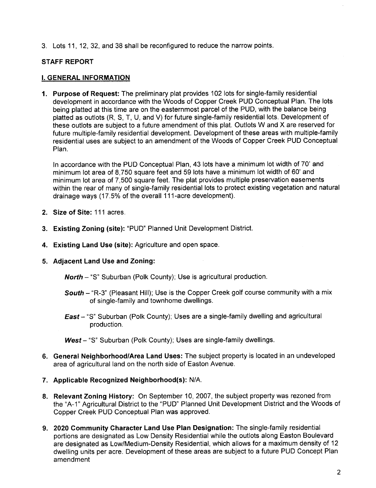3. Lots 11, 12, 32, and 38 shall be reconfigured to reduce the narrow points.

#### STAFF REPORT

#### i. GENERAL INFORMATION

1. Purpose of Request: The preliminary plat provides 102 lots for single-family residential development in accordance with the Woods of Copper Creek PUD Conceptual Plan. The lots being platted at this time are on the easternmost parcel of the PUD, with the balance being platted as outlots (R, S, T, U, and V) for future single-family residential lots. Development of these outlots are subject to a future amendment of this plat. Outlots Wand X are reserved for future multiple-family residential development. Development of these areas with multiple-family residential uses are subject to an amendment of the Woods of Copper Creek PUD Conceptual Plan.

In accordance with the PUD Conceptual Plan, 43 lots have a minimum lot width of 70' and minimum lot area of 8,750 square feet and 59 lots have a minimum lot width of 60' and minimum lot area of 7,500 square feet. The plat provides multiple preservation easements within the rear of many of single-family residential lots to protect existing vegetation and natural drainage ways (17.5% of the overall 111-acre development).

- 2. Size of Site: 111 acres.
- 3. Existing Zoning (site): "PUD" Planned Unit Development District.
- 4. Existing Land Use (site): Agriculture and open space.
- 5. Adjacent Land Use and Zoning:

**North** - "S" Suburban (Polk County); Use is agricultural production.

- South "R-3" (Pleasant Hill); Use is the Copper Creek golf course community with a mix of single-family and townhome dwellings.
- East "S" Suburban (Polk County); Uses are a single-family dwelling and agricultural production.

West - "S" Suburban (Polk County); Uses are single-family dwellings.

- 6. General Neighborhood/Area Land Uses: The subject property is located in an undeveloped area of agricultural land on the north side of Easton Avenue.
- 7. Applicable Recognized Neighborhood(s): N/A.
- 8. Relevant Zoning History: On September 10, 2007, the subject property was rezoned from the "A-1" Agricultural District to the "PUD" Planned Unit Development District and the Woods of Copper Creek PUD Conceptual Plan was approved.
- 9. 2020 Community Character Land Use Plan Designation: The single-family residential portions are designated as Low Density Residential while the outlots along Easton Boulevard are designated as Low/Medium-Density Residential, which allows for a maximum density of 12 dwelling units per acre. Development of these areas are subject to a future PUD Concept Plan amendment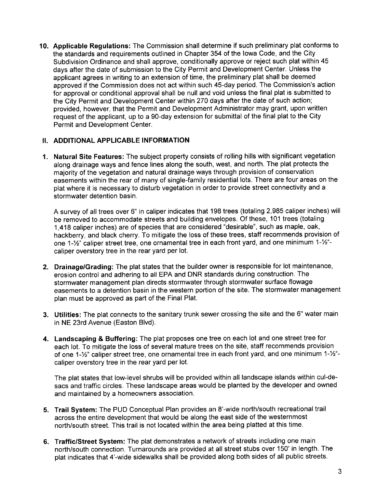10. Applicable Regulations: The Commission shall determine if such preliminary plat conforms to the standards and requirements outlined in Chapter 354 of the Iowa Code, and the City Subdivision Ordinance and shall approve, conditionally approve or reject such plat within 45 days after the date of submission to the City Permit and Development Center. Unless the applicant agrees in writing to an extension of time, the preliminary plat shall be deemed approved if the Commission does not act within such 45-day period. The Commission's action for approval or conditional approval shall be null and void unless the final plat is submitted to the City Permit and Development Center within 270 days after the date of such action; provided, however, that the Permit and Development Administrator may grant, upon written request of the applicant, up to a 90-day extension for submittal of the final plat to the City Permit and Development Center.

#### 11. ADDITIONAL APPLICABLE INFORMATION

1. Natural Site Features: The subject property consists of rolling hills with significant vegetation along drainage ways and fence lines along the south, west, and north. The plat protects the majority of the vegetation and natural drainage ways through provision of conservation easements within the rear of many of single-family residential lots. There are four areas on the plat where it is necessary to disturb vegetation in order to provide street connectivity and a stormwater detention basin,

A survey of all trees over 6" in caliper indicates that 198 trees (totaling 2,985 caliper inches) will be removed to accommodate streets and building envelopes. Of these, 101 trees (totaling 1,418 caliper inches) are of species that are considered "desirable", such as maple, oak, hackberry, and black cherry. To mitigate the loss of these trees, staff recommends provision of one 1-%" caliper street tree, one ornamental tree in each front yard, and one minimum 1-%" caliper overstory tree in the rear yard per lot.

- 2. Drainage/Grading: The plat states that the builder owner is responsible for lot maintenance, erosion control and adhering to all EPA and DNR standards during construction. The stormwater management plan directs stormwater through stormwater surface flowage easements to a detention basin in the western portion of the site. The stormwater management plan must be approved as part of the Final Plat.
- 3. Utilties: The plat connects to the sanitary trunk sewer crossing the site and the 6" water main in NE 23rd Avenue (Easton Blvd).
- 4. Landscaping & Buffering: The plat proposes one tree on each lot and one street tree for each lot. To mitigate the loss of several mature trees on the site, staff recommends provision of one 1-%" caliper street tree, one ornamental tree in each front yard, and one minimum 1-%" caliper overstory tree in the rear yard per lot.

The plat states that low-level shrubs will be provided within all landscape islands within cul-desacs and traffic circles. These landscape areas would be planted by the developer and owned and maintained by a homeowners association.

- 5. Trail System: The PUD Conceptual Plan provides an 8'-wide north/south recreational trail across the entire development that would be along the east side of the westernmost north/south street. This trail is not located within the area being platted at this time.
- 6. Traffic/Street System: The plat demonstrates a network of streets including one main north/south connection. Turnarounds are provided at all street stubs over 150' in length. The plat indicates that 4'-wide sidewalks shall be provided along both sides of all public streets.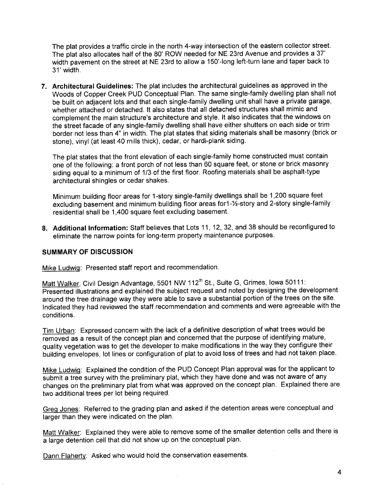The plat provides a traffic circle in the north 4-way intersection of the eastern collector street. The plat also allocates half of the 80' ROW needed for NE 23rd Avenue and provides a 37' width pavement on the street at NE 23rd to allow a 150'-long left-turn lane and taper back to 31' width.

7. Architectural Guidelines: The plat includes the architectural guidelines as approved in the Woods of Copper Creek PUD Conceptual Plan. The same single-family dwelling plan shall not be built on adjacent lots and that each single-family dwelling unit shall have a private garage, whether attached or detached. It also states that all detached structures shall mimic and complement the main structure's architecture and style. It also indicates that the windows on the street facade of any single-family dwelling shall have either shutters on each side or trim border not less than 4" in width. The plat states that siding materials shall be masonry (brick or stone), vinyl (at least 40 mills thick), cedar, or hardi-plank siding.

The plat states that the front elevation of each single-family home constructed must contain one of the following: a front porch of not less than 60 square feet, or stone or brick masonry siding equal to a minimum of 1/3 of the first floor. Roofing materials shall be asphalt-type architectural shingles or cedar shakes.

Minimum building floor areas for 1-story single-family dwellings shall be 1,200 square feet excluding basement and minimum building floor areas for 1-1/2-story and 2-story single-family residential shall be 1,400 square feet excluding basement.

8. Additional Information: Staff believes that Lots 11, 12, 32, and 38 should be reconfigured to eliminate the narrow points for long-term property maintenance purposes.

#### SUMMARY OF DISCUSSION

Mike LudwiQ: Presented staff report and recommendation.

Matt Walker, Civil Design Advantage, 5501 NW 112<sup>th</sup> St., Suite G, Grimes, Iowa 50111: Presented illustrations and explained the subject request and noted by designing the development around the tree drainage way they were able to save a substantial portion of the trees on the site. Indicated they had reviewed the staff recommendation and comments and were agreeable with the conditions.

Tim Urban: Expressed concern with the lack of a definitive description of what trees would be removed as a result of the concept plan and concerned that the purpose of identifying mature, quality vegetation was to get the developer to make modifications in the way they configure their building envelopes, lot lines or configuration of plat to avoid loss of trees and had not taken place.

Mike LudwiQ: Explained the condition of the PUD Concept Plan approval was for the applicant to submit a tree survey with the preliminary plat, which they have done and was not aware of any changes on the preliminary plat from what was approved on the concept plan. Explained there are two additional trees per lot being required.

Greg Jones: Referred to the grading plan and asked if the detention areas were conceptual and larger than they were indicated on the plan.

Matt Walker: Explained they were able to remove some of the smaller detention cells and there is a large detention cell that did not show up on the conceptual plan.

Dann Flaherty: Asked who would hold the conservation easements.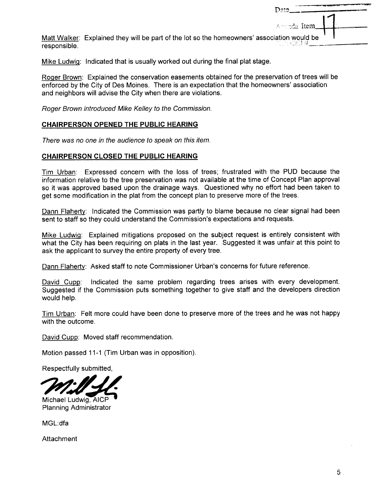|                                                                                                             | Date        |
|-------------------------------------------------------------------------------------------------------------|-------------|
|                                                                                                             | Aranda Item |
| Matt Walker: Explained they will be part of the lot so the homeowners' association would be<br>responsible. |             |

Mike Ludwig: Indicated that is usually worked out during the final plat stage.

ROQer Brown: Explained the conservation easements obtained for the preservation of trees will be enforced by the City of Des Moines. There is an expectation that the homeowners' association and neighbors will advise the City when there are violations.

Roger Brown introduced Mike Kelley to the Commission.

#### CHAIRPERSON OPENED THE PUBLIC HEARING

There was no one in the audience to speak on this item.

#### CHAIRPERSON CLOSED THE PUBLIC HEARING

Tim Urban: Expressed concern with the loss of trees; frustrated with the PUD because the information relative to the tree preservation was not available at the time of Concept Plan approval so it was approved based upon the drainage ways. Questioned why no effort had been taken to get some modification in the plat from the concept plan to preserve more of the trees.

Dann Flaherty: Indicated the Commission was partly to blame because no clear signal had been sent to staff so they could understand the Commission's expectations and requests.

Mike LudwiQ: Explained mitigations proposed on the subject request is entirely consistent with what the City has been requiring on plats in the last year. Suggested it was unfair at this point to ask the applicant to survey the entire property of every tree.

Dann Flaherty: Asked staff to note Commissioner Urban's concerns for future reference.

David Cupp: Indicated the same problem regarding trees arises with every development. Suggested if the Commission puts something together to give staff and the developers direction would help,

Tim Urban: Felt more could have been done to preserve more of the trees and he was not happy with the outcome.

David Cupp: Moved staff recommendation.

Motion passed 11-1 (Tim Urban was in opposition).

Respectfully submitted,

Michael Ludwig, AICP<br>Planning Administrator

MGL:dfa

Attachment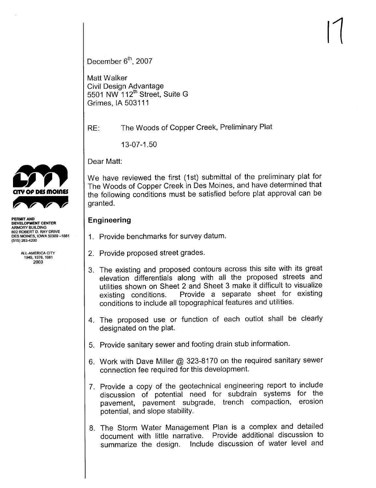$\vert \vert$ 

December  $6<sup>th</sup>$ , 2007

Matt Walker Civil Design Advantage 5501 NW 112<sup>th</sup> Street, Suite G Grimes, IA 503111

RE: The Woods of Copper Creek, Preliminary Plat

13-07-1.50

Dear Matt:

We have reviewed the first (1st) submittal of the preliminary plat for The Woods of Copper Creek in Des Moines, and have determined that the following conditions must be satisfied before plat approval can be granted.

# Engineering

- 1. Provide benchmarks for survey datum.
- 2. Provide proposed street grades.
- 3. The existing and proposed contours across this site with its great elevation differentials along with all the proposed streets and utilities shown on Sheet 2 and Sheet 3 make it difficult to visualize existing conditions. Provide a separate sheet for existing conditions to include all topographical features and utilities.
- 4. The proposed use or function of each outlot shall be clearly designated on the plat.
- 5. Provide sanitary sewer and footing drain stub information.
- 6. Work with Dave Miller @ 323-8170 on the required sanitary sewer connection fee required for this development.
- 7. Provide a copy of the geotechnical engineering report to include discussion of potential need for subdrain systems for the pavement, pavement subgrade, trench compaction, erosion potential, and slope stability.
- 8. The Storm Water Management Plan is a complex and detailed document with little narrative. Provide additional discussion to summarize the design. Include discussion of water level and



DEVELOPMENT CENTER ARMORY BUILDING 602 ROBERT D. RAY DRIVE DES MOINES, IOWA 50309-1881 (515) 283-200

> ALL-AMERICA CITY 1949.1976.1981 2003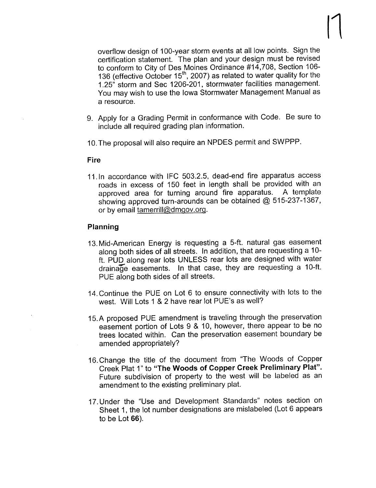overflow design of 100-year storm events at all low points. Sign the certification statement. The plan and your design must be revised to conform to City of Des Moines Ordinance #14,708, Section 106- 136 (effective October  $15<sup>th</sup>$ , 2007) as related to water quality for the 1.25" storm and See 1206-201, stormwater facilities management. You may wish to use the Iowa Stormwater Management Manual as a resource.

- 9. Apply for a Grading Permit in conformance with Code. Be sure to include all required grading plan information.
- 10.The proposal will also require an NPDES permit and SWPPP.

#### Fire

11.ln accordance with IFC 503.2.5, dead-end fire apparatus access roads in excess of 150 feet in length shall be provided with an approved area for turning around fire apparatus. A template showing approved turn-arounds can be obtained  $@$  515-237-1367, or by email tamerrill@dmqov.org.

## Planning

- 13. Mid-American Energy is requesting a 5-ft. natural gas easement along both sides of all streets. In addition, that are requesting a 10 ft. PUD along rear lots UNLESS rear lots are designed with water drainage easements. In that case, they are requesting a 10-ft. PUE along both sides of all streets.
- 14. Continue the PUE on Lot 6 to ensure connectivity with lots to the west. Will Lots 1 & 2 have rear lot PUE's as well?
- 15. A proposed PUE amendment is traveling through the preservation easement portion of Lots 9 & 10, however, there appear to be no trees located within. Can the preservation easement boundary be amended appropriately?
- 16. Change the title of the document from "The Woods of Copper Creek Plat 1" to "The Woods of Copper Creek Preliminary Plat". Future subdivision of property to the west will be labeled as an amendment to the existing preliminary plat.
- 17. Under the "Use and Development Standards" notes section on Sheet 1, the lot number designations are mislabeled (Lot 6 appears to be Lot 66).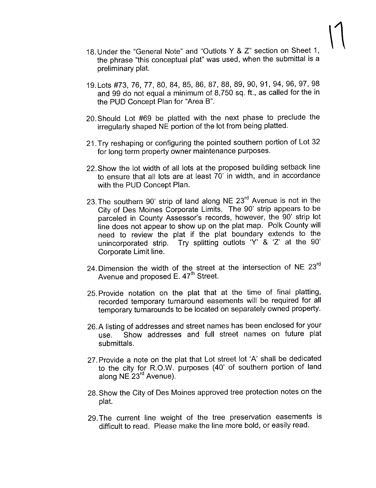- 18. Under the "General Note" and "Outlots Y & Z" section on Sheet 1, the phrase "this conceptual plat" was used, when the submittal is a preliminary plat.
- 19. Lots #73,76,77,80,84,85,86,87,88,89,90,91,94,96,97,98 and 99 do not equal a minimum of 8,750 sq. ft., as called for the in the PUD Concept Plan for "Area B".
- 20. Should Lot #69 be platted with the next phase to preclude the irregularly shaped NE portion of the lot from being platted.
- 21. Try reshaping or configuring the pointed southern portion of Lot 32 for long term property owner maintenance purposes.
- 22. Show the lot width of all lots at the proposed building setback line to ensure that all lots are at least 70' in width, and in accordance with the PUD Concept Plan.
- 23. The southern 90' strip of land along NE 23<sup>rd</sup> Avenue is not in the City of Des Moines Corporate Limits. The 90' strip appears to be parceled in County Assessor's records, however, the 90' strip lot line does not appear to show up on the plat map. Polk County will need to review the plat if the plat boundary extends to the unincorporated strip. Try splitting outlots 'Y' & 'Z' at the 90' Corporate Limit line.
- 24. Dimension the width of the street at the intersection of NE 23<sup>rd</sup> Avenue and proposed  $E. 47<sup>th</sup>$  Street.
- 25. Provide notation on the plat that at the time of final platting, recorded temporary turnaround easements will be required for all temporary turnarounds to be located on separately owned property.
- 26.A listing of addresses and street names has been enclosed for your use. Show addresses and full street names on future plat submittals.
- 27. Provide a note on the plat that Lot street lot 'A' shall be dedicated to the city for R.O.W. purposes (40' of southern portion of land along NE 23<sup>rd</sup> Avenue).
- 28. Show the City of Des Moines approved tree protection notes on the plat.
- 29. The current line weight of the tree preservation easements is difficult to read. Please make the line more bold, or easily read.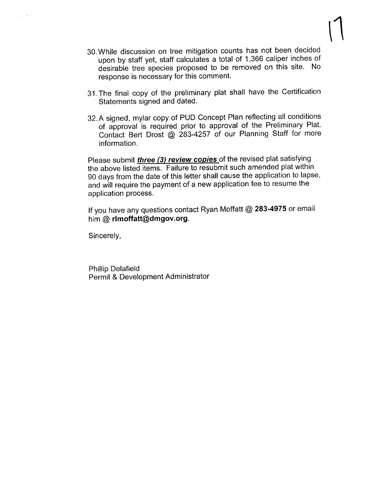- 30. While discussion on tree mitigation counts has not been decided upon by staff yet, staff calculates a total of 1,366 caliper inches of desirable tree species proposed to be removed on this site. No response is necessary for this comment.
- 31 . The final copy of the preliminary plat shall have the Certification Statements signed and dated.
- 32.A signed, mylar copy of PUD Concept Plan reflecting all conditions of approval is required prior to approval of the Preliminary Plat. Contact Bert Drost @ 283-4257 of our Planning Staff for more information.

Please submit *three (3) review copies* of the revised plat satisfying the above listed items. Failure to resubmit such amended plat within 90 days from the date of this letter shall cause the application to lapse, and will require the payment of a new application fee to resume the application process.

If you have any questions contact Ryan Moffatt  $@$  283-4975 or email him @ rlmoffatt@dmgov.org.

Sincerely,

Phillip Delafield Permit & Development Administrator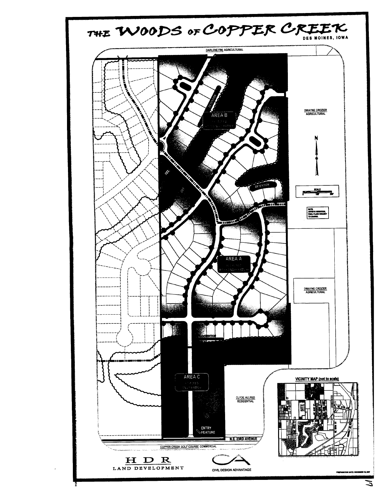